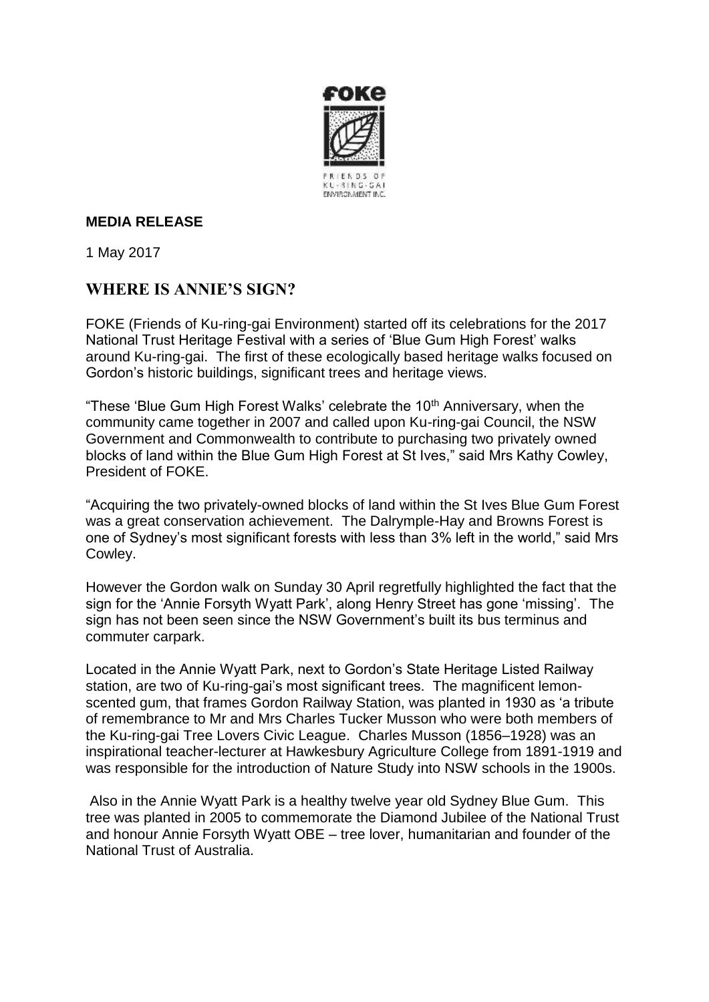

## **MEDIA RELEASE**

1 May 2017

## **WHERE IS ANNIE'S SIGN?**

FOKE (Friends of Ku-ring-gai Environment) started off its celebrations for the 2017 National Trust Heritage Festival with a series of 'Blue Gum High Forest' walks around Ku-ring-gai. The first of these ecologically based heritage walks focused on Gordon's historic buildings, significant trees and heritage views.

"These 'Blue Gum High Forest Walks' celebrate the  $10<sup>th</sup>$  Anniversary, when the community came together in 2007 and called upon Ku-ring-gai Council, the NSW Government and Commonwealth to contribute to purchasing two privately owned blocks of land within the Blue Gum High Forest at St Ives," said Mrs Kathy Cowley, President of FOKE.

"Acquiring the two privately-owned blocks of land within the St Ives Blue Gum Forest was a great conservation achievement. The Dalrymple-Hay and Browns Forest is one of Sydney's most significant forests with less than 3% left in the world," said Mrs Cowley.

However the Gordon walk on Sunday 30 April regretfully highlighted the fact that the sign for the 'Annie Forsyth Wyatt Park', along Henry Street has gone 'missing'. The sign has not been seen since the NSW Government's built its bus terminus and commuter carpark.

Located in the Annie Wyatt Park, next to Gordon's State Heritage Listed Railway station, are two of Ku-ring-gai's most significant trees. The magnificent lemonscented gum, that frames Gordon Railway Station, was planted in 1930 as 'a tribute of remembrance to Mr and Mrs Charles Tucker Musson who were both members of the Ku-ring-gai Tree Lovers Civic League. Charles Musson (1856–1928) was an inspirational teacher-lecturer at Hawkesbury Agriculture College from 1891-1919 and was responsible for the introduction of Nature Study into NSW schools in the 1900s.

Also in the Annie Wyatt Park is a healthy twelve year old Sydney Blue Gum. This tree was planted in 2005 to commemorate the Diamond Jubilee of the National Trust and honour Annie Forsyth Wyatt OBE – tree lover, humanitarian and founder of the National Trust of Australia.